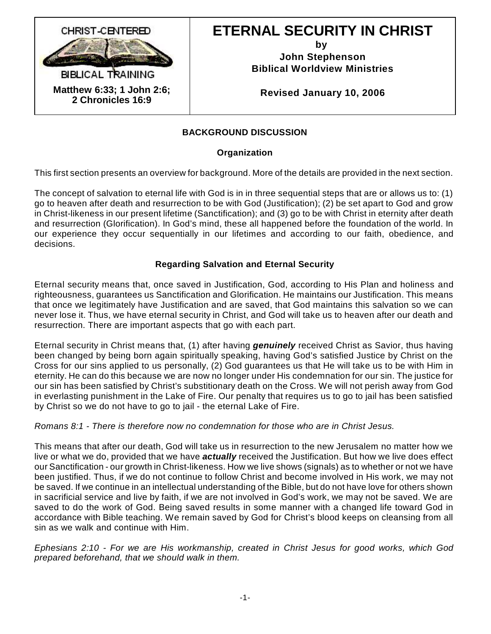

# **ETERNAL SECURITY IN CHRIST**

**by** 

**John Stephenson Biblical Worldview Ministries**

**Revised January 10, 2006**

# **BACKGROUND DISCUSSION**

## **Organization**

This first section presents an overview for background. More of the details are provided in the next section.

The concept of salvation to eternal life with God is in in three sequential steps that are or allows us to: (1) go to heaven after death and resurrection to be with God (Justification); (2) be set apart to God and grow in Christ-likeness in our present lifetime (Sanctification); and (3) go to be with Christ in eternity after death and resurrection (Glorification). In God's mind, these all happened before the foundation of the world. In our experience they occur sequentially in our lifetimes and according to our faith, obedience, and decisions.

## **Regarding Salvation and Eternal Security**

Eternal security means that, once saved in Justification, God, according to His Plan and holiness and righteousness, guarantees us Sanctification and Glorification. He maintains our Justification. This means that once we legitimately have Justification and are saved, that God maintains this salvation so we can never lose it. Thus, we have eternal security in Christ, and God will take us to heaven after our death and resurrection. There are important aspects that go with each part.

Eternal security in Christ means that, (1) after having *genuinely* received Christ as Savior, thus having been changed by being born again spiritually speaking, having God's satisfied Justice by Christ on the Cross for our sins applied to us personally, (2) God guarantees us that He will take us to be with Him in eternity. He can do this because we are now no longer under His condemnation for our sin. The justice for our sin has been satisfied by Christ's substitionary death on the Cross. We will not perish away from God in everlasting punishment in the Lake of Fire. Our penalty that requires us to go to jail has been satisfied by Christ so we do not have to go to jail - the eternal Lake of Fire.

## *Romans 8:1 - There is therefore now no condemnation for those who are in Christ Jesus.*

This means that after our death, God will take us in resurrection to the new Jerusalem no matter how we live or what we do, provided that we have *actually* received the Justification. But how we live does effect our Sanctification - our growth in Christ-likeness. How we live shows (signals) as to whether or not we have been justified. Thus, if we do not continue to follow Christ and become involved in His work, we may not be saved. If we continue in an intellectual understanding of the Bible, but do not have love for others shown in sacrificial service and live by faith, if we are not involved in God's work, we may not be saved. We are saved to do the work of God. Being saved results in some manner with a changed life toward God in accordance with Bible teaching. We remain saved by God for Christ's blood keeps on cleansing from all sin as we walk and continue with Him.

*Ephesians 2:10 - For we are His workmanship, created in Christ Jesus for good works, which God prepared beforehand, that we should walk in them.*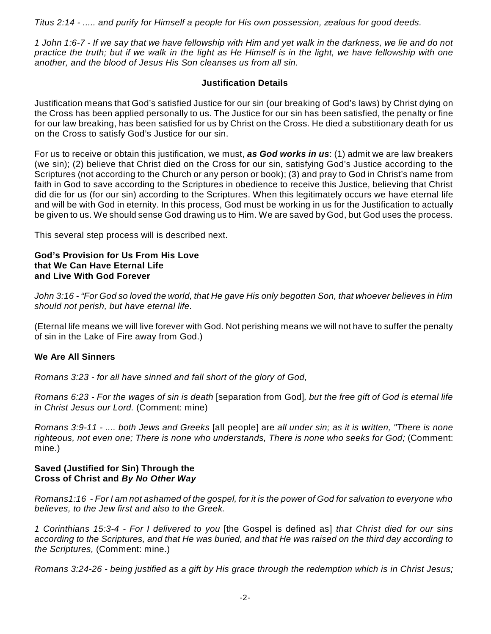*Titus 2:14 - ..... and purify for Himself a people for His own possession, zealous for good deeds.*

*1 John 1:6-7 - If we say that we have fellowship with Him and yet walk in the darkness, we lie and do not practice the truth; but if we walk in the light as He Himself is in the light, we have fellowship with one another, and the blood of Jesus His Son cleanses us from all sin.*

## **Justification Details**

Justification means that God's satisfied Justice for our sin (our breaking of God's laws) by Christ dying on the Cross has been applied personally to us. The Justice for our sin has been satisfied, the penalty or fine for our law breaking, has been satisfied for us by Christ on the Cross. He died a substitionary death for us on the Cross to satisfy God's Justice for our sin.

For us to receive or obtain this justification, we must, *as God works in us*: (1) admit we are law breakers (we sin); (2) believe that Christ died on the Cross for our sin, satisfying God's Justice according to the Scriptures (not according to the Church or any person or book); (3) and pray to God in Christ's name from faith in God to save according to the Scriptures in obedience to receive this Justice, believing that Christ did die for us (for our sin) according to the Scriptures. When this legitimately occurs we have eternal life and will be with God in eternity. In this process, God must be working in us for the Justification to actually be given to us. We should sense God drawing us to Him. We are saved by God, but God uses the process.

This several step process will is described next.

#### **God's Provision for Us From His Love that We Can Have Eternal Life and Live With God Forever**

*John 3:16 - "For God so loved the world, that He gave His only begotten Son, that whoever believes in Him should not perish, but have eternal life.*

(Eternal life means we will live forever with God. Not perishing means we will not have to suffer the penalty of sin in the Lake of Fire away from God.)

## **We Are All Sinners**

*Romans 3:23 - for all have sinned and fall short of the glory of God,*

*Romans 6:23 - For the wages of sin is death* [separation from God]*, but the free gift of God is eternal life in Christ Jesus our Lord.* (Comment: mine)

*Romans 3:9-11 - .... both Jews and Greeks* [all people] are *all under sin; as it is written, "There is none righteous, not even one; There is none who understands, There is none who seeks for God;* (Comment: mine.)

#### **Saved (Justified for Sin) Through the Cross of Christ and** *By No Other Way*

*Romans1:16 - For I am not ashamed of the gospel, for it is the power of God for salvation to everyone who believes, to the Jew first and also to the Greek.*

*1 Corinthians 15:3-4 - For I delivered to you* [the Gospel is defined as] *that Christ died for our sins according to the Scriptures, and that He was buried, and that He was raised on the third day according to the Scriptures,* (Comment: mine.)

*Romans 3:24-26 - being justified as a gift by His grace through the redemption which is in Christ Jesus;*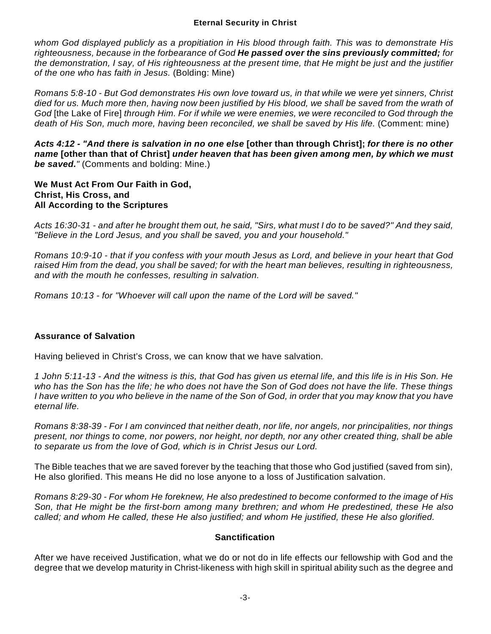*whom God displayed publicly as a propitiation in His blood through faith. This was to demonstrate His righteousness, because in the forbearance of God He passed over the sins previously committed; for the demonstration, I say, of His righteousness at the present time, that He might be just and the justifier of the one who has faith in Jesus.* (Bolding: Mine)

*Romans 5:8-10 - But God demonstrates His own love toward us, in that while we were yet sinners, Christ died for us. Much more then, having now been justified by His blood, we shall be saved from the wrath of God* [the Lake of Fire] *through Him. For if while we were enemies, we were reconciled to God through the death of His Son, much more, having been reconciled, we shall be saved by His life.* (Comment: mine)

*Acts 4:12 - "And there is salvation in no one else* **[other than through Christ];** *for there is no other name* **[other than that of Christ]** *under heaven that has been given among men, by which we must be saved."* (Comments and bolding: Mine.)

#### **We Must Act From Our Faith in God, Christ, His Cross, and All According to the Scriptures**

*Acts 16:30-31 - and after he brought them out, he said, "Sirs, what must I do to be saved?" And they said, "Believe in the Lord Jesus, and you shall be saved, you and your household."*

*Romans 10:9-10 - that if you confess with your mouth Jesus as Lord, and believe in your heart that God raised Him from the dead, you shall be saved; for with the heart man believes, resulting in righteousness, and with the mouth he confesses, resulting in salvation.*

*Romans 10:13 - for "Whoever will call upon the name of the Lord will be saved."*

# **Assurance of Salvation**

Having believed in Christ's Cross, we can know that we have salvation.

*1 John 5:11-13 - And the witness is this, that God has given us eternal life, and this life is in His Son. He who has the Son has the life; he who does not have the Son of God does not have the life. These things I have written to you who believe in the name of the Son of God, in order that you may know that you have eternal life.*

*Romans 8:38-39 - For I am convinced that neither death, nor life, nor angels, nor principalities, nor things present, nor things to come, nor powers, nor height, nor depth, nor any other created thing, shall be able to separate us from the love of God, which is in Christ Jesus our Lord.*

The Bible teaches that we are saved forever by the teaching that those who God justified (saved from sin), He also glorified. This means He did no lose anyone to a loss of Justification salvation.

*Romans 8:29-30 - For whom He foreknew, He also predestined to become conformed to the image of His Son, that He might be the first-born among many brethren; and whom He predestined, these He also called; and whom He called, these He also justified; and whom He justified, these He also glorified.*

# **Sanctification**

After we have received Justification, what we do or not do in life effects our fellowship with God and the degree that we develop maturity in Christ-likeness with high skill in spiritual ability such as the degree and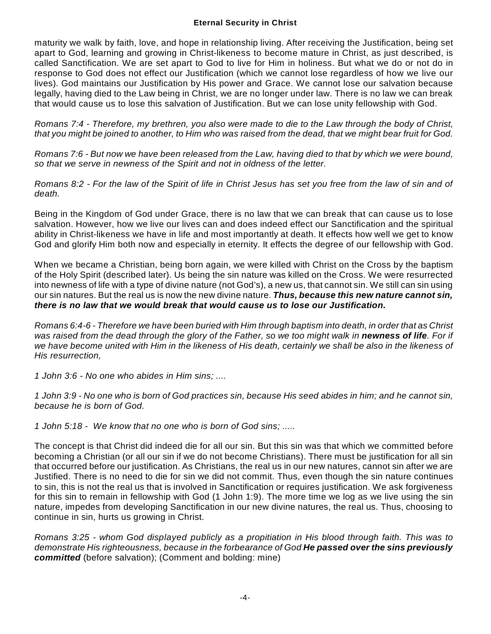maturity we walk by faith, love, and hope in relationship living. After receiving the Justification, being set apart to God, learning and growing in Christ-likeness to become mature in Christ, as just described, is called Sanctification. We are set apart to God to live for Him in holiness. But what we do or not do in response to God does not effect our Justification (which we cannot lose regardless of how we live our lives). God maintains our Justification by His power and Grace. We cannot lose our salvation because legally, having died to the Law being in Christ, we are no longer under law. There is no law we can break that would cause us to lose this salvation of Justification. But we can lose unity fellowship with God.

*Romans 7:4 - Therefore, my brethren, you also were made to die to the Law through the body of Christ, that you might be joined to another, to Him who was raised from the dead, that we might bear fruit for God.*

*Romans 7:6 - But now we have been released from the Law, having died to that by which we were bound, so that we serve in newness of the Spirit and not in oldness of the letter.*

*Romans 8:2 - For the law of the Spirit of life in Christ Jesus has set you free from the law of sin and of death.*

Being in the Kingdom of God under Grace, there is no law that we can break that can cause us to lose salvation. However, how we live our lives can and does indeed effect our Sanctification and the spiritual ability in Christ-likeness we have in life and most importantly at death. It effects how well we get to know God and glorify Him both now and especially in eternity. It effects the degree of our fellowship with God.

When we became a Christian, being born again, we were killed with Christ on the Cross by the baptism of the Holy Spirit (described later). Us being the sin nature was killed on the Cross. We were resurrected into newness of life with a type of divine nature (not God's), a new us, that cannot sin. We still can sin using our sin natures. But the real us is now the new divine nature. *Thus, because this new nature cannot sin, there is no law that we would break that would cause us to lose our Justification.*

*Romans 6:4-6 - Therefore we have been buried with Him through baptism into death, in order that as Christ was raised from the dead through the glory of the Father, so we too might walk in newness of life. For if we have become united with Him in the likeness of His death, certainly we shall be also in the likeness of His resurrection,*

*1 John 3:6 - No one who abides in Him sins; ....*

*1 John 3:9 - No one who is born of God practices sin, because His seed abides in him; and he cannot sin, because he is born of God.*

*1 John 5:18 - We know that no one who is born of God sins; .....*

The concept is that Christ did indeed die for all our sin. But this sin was that which we committed before becoming a Christian (or all our sin if we do not become Christians). There must be justification for all sin that occurred before our justification. As Christians, the real us in our new natures, cannot sin after we are Justified. There is no need to die for sin we did not commit. Thus, even though the sin nature continues to sin, this is not the real us that is involved in Sanctification or requires justification. We ask forgiveness for this sin to remain in fellowship with God (1 John 1:9). The more time we log as we live using the sin nature, impedes from developing Sanctification in our new divine natures, the real us. Thus, choosing to continue in sin, hurts us growing in Christ.

*Romans 3:25 - whom God displayed publicly as a propitiation in His blood through faith. This was to demonstrate His righteousness, because in the forbearance of God He passed over the sins previously committed* (before salvation); (Comment and bolding: mine)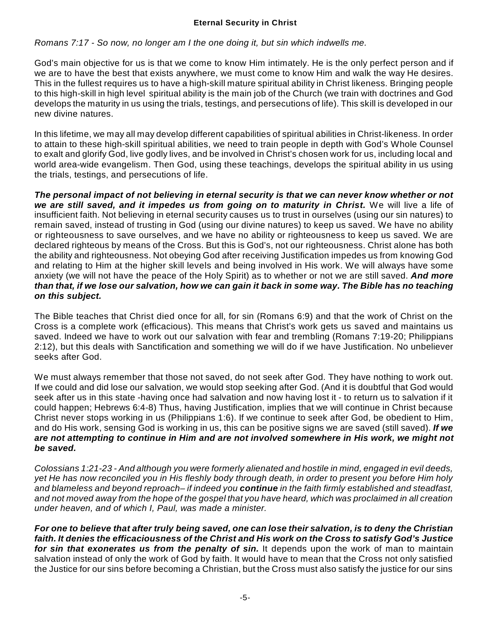*Romans 7:17 - So now, no longer am I the one doing it, but sin which indwells me.*

God's main objective for us is that we come to know Him intimately. He is the only perfect person and if we are to have the best that exists anywhere, we must come to know Him and walk the way He desires. This in the fullest requires us to have a high-skill mature spiritual ability in Christ likeness. Bringing people to this high-skill in high level spiritual ability is the main job of the Church (we train with doctrines and God develops the maturity in us using the trials, testings, and persecutions of life). This skill is developed in our new divine natures.

In this lifetime, we may all may develop different capabilities of spiritual abilities in Christ-likeness. In order to attain to these high-skill spiritual abilities, we need to train people in depth with God's Whole Counsel to exalt and glorify God, live godly lives, and be involved in Christ's chosen work for us, including local and world area-wide evangelism. Then God, using these teachings, develops the spiritual ability in us using the trials, testings, and persecutions of life.

*The personal impact of not believing in eternal security is that we can never know whether or not we are still saved, and it impedes us from going on to maturity in Christ.* We will live a life of insufficient faith. Not believing in eternal security causes us to trust in ourselves (using our sin natures) to remain saved, instead of trusting in God (using our divine natures) to keep us saved. We have no ability or righteousness to save ourselves, and we have no ability or righteousness to keep us saved. We are declared righteous by means of the Cross. But this is God's, not our righteousness. Christ alone has both the ability and righteousness. Not obeying God after receiving Justification impedes us from knowing God and relating to Him at the higher skill levels and being involved in His work. We will always have some anxiety (we will not have the peace of the Holy Spirit) as to whether or not we are still saved. *And more than that, if we lose our salvation, how we can gain it back in some way. The Bible has no teaching on this subject.* 

The Bible teaches that Christ died once for all, for sin (Romans 6:9) and that the work of Christ on the Cross is a complete work (efficacious). This means that Christ's work gets us saved and maintains us saved. Indeed we have to work out our salvation with fear and trembling (Romans 7:19-20; Philippians 2:12), but this deals with Sanctification and something we will do if we have Justification. No unbeliever seeks after God.

We must always remember that those not saved, do not seek after God. They have nothing to work out. If we could and did lose our salvation, we would stop seeking after God. (And it is doubtful that God would seek after us in this state -having once had salvation and now having lost it - to return us to salvation if it could happen; Hebrews 6:4-8) Thus, having Justification, implies that we will continue in Christ because Christ never stops working in us (Philippians 1:6). If we continue to seek after God, be obedient to Him, and do His work, sensing God is working in us, this can be positive signs we are saved (still saved). *If we are not attempting to continue in Him and are not involved somewhere in His work, we might not be saved.*

*Colossians 1:21-23 - And although you were formerly alienated and hostile in mind, engaged in evil deeds, yet He has now reconciled you in His fleshly body through death, in order to present you before Him holy and blameless and beyond reproach– if indeed you continue in the faith firmly established and steadfast, and not moved away from the hope of the gospel that you have heard, which was proclaimed in all creation under heaven, and of which I, Paul, was made a minister.*

*For one to believe that after truly being saved, one can lose their salvation, is to deny the Christian faith. It denies the efficaciousness of the Christ and His work on the Cross to satisfy God's Justice for sin that exonerates us from the penalty of sin.* It depends upon the work of man to maintain salvation instead of only the work of God by faith. It would have to mean that the Cross not only satisfied the Justice for our sins before becoming a Christian, but the Cross must also satisfy the justice for our sins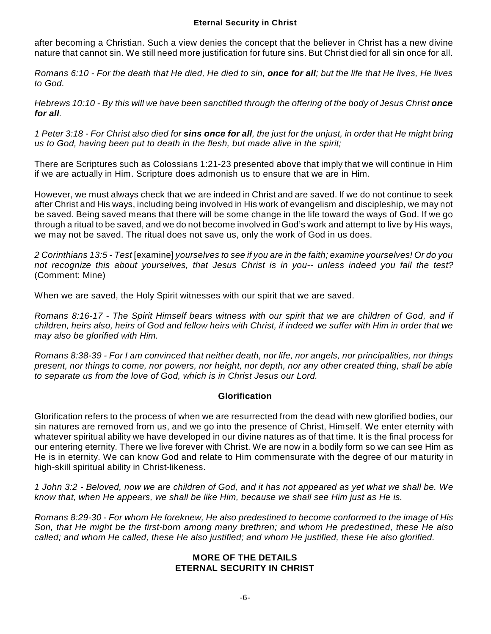after becoming a Christian. Such a view denies the concept that the believer in Christ has a new divine nature that cannot sin. We still need more justification for future sins. But Christ died for all sin once for all.

*Romans 6:10 - For the death that He died, He died to sin, once for all; but the life that He lives, He lives to God.*

*Hebrews 10:10 - By this will we have been sanctified through the offering of the body of Jesus Christ once for all.*

*1 Peter 3:18 - For Christ also died for sins once for all, the just for the unjust, in order that He might bring us to God, having been put to death in the flesh, but made alive in the spirit;*

There are Scriptures such as Colossians 1:21-23 presented above that imply that we will continue in Him if we are actually in Him. Scripture does admonish us to ensure that we are in Him.

However, we must always check that we are indeed in Christ and are saved. If we do not continue to seek after Christ and His ways, including being involved in His work of evangelism and discipleship, we may not be saved. Being saved means that there will be some change in the life toward the ways of God. If we go through a ritual to be saved, and we do not become involved in God's work and attempt to live by His ways, we may not be saved. The ritual does not save us, only the work of God in us does.

*2 Corinthians 13:5 - Test* [examine] *yourselves to see if you are in the faith; examine yourselves! Or do you not recognize this about yourselves, that Jesus Christ is in you-- unless indeed you fail the test?* (Comment: Mine)

When we are saved, the Holy Spirit witnesses with our spirit that we are saved.

*Romans 8:16-17 - The Spirit Himself bears witness with our spirit that we are children of God, and if children, heirs also, heirs of God and fellow heirs with Christ, if indeed we suffer with Him in order that we may also be glorified with Him.*

*Romans 8:38-39 - For I am convinced that neither death, nor life, nor angels, nor principalities, nor things present, nor things to come, nor powers, nor height, nor depth, nor any other created thing, shall be able to separate us from the love of God, which is in Christ Jesus our Lord.*

## **Glorification**

Glorification refers to the process of when we are resurrected from the dead with new glorified bodies, our sin natures are removed from us, and we go into the presence of Christ, Himself. We enter eternity with whatever spiritual ability we have developed in our divine natures as of that time. It is the final process for our entering eternity. There we live forever with Christ. We are now in a bodily form so we can see Him as He is in eternity. We can know God and relate to Him commensurate with the degree of our maturity in high-skill spiritual ability in Christ-likeness.

*1 John 3:2 - Beloved, now we are children of God, and it has not appeared as yet what we shall be. We know that, when He appears, we shall be like Him, because we shall see Him just as He is.*

*Romans 8:29-30 - For whom He foreknew, He also predestined to become conformed to the image of His Son, that He might be the first-born among many brethren; and whom He predestined, these He also called; and whom He called, these He also justified; and whom He justified, these He also glorified.*

#### **MORE OF THE DETAILS ETERNAL SECURITY IN CHRIST**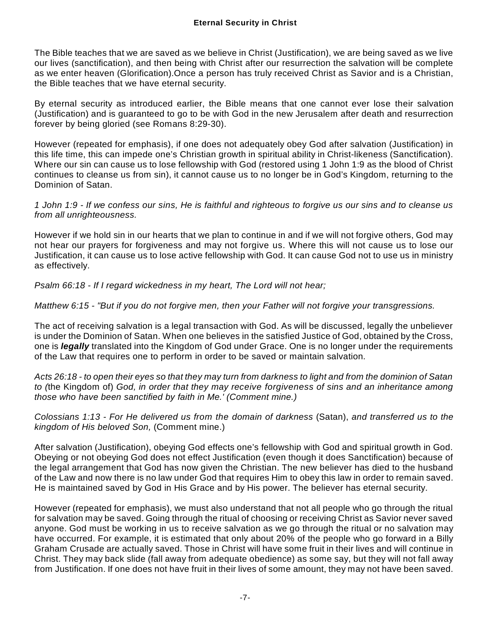The Bible teaches that we are saved as we believe in Christ (Justification), we are being saved as we live our lives (sanctification), and then being with Christ after our resurrection the salvation will be complete as we enter heaven (Glorification).Once a person has truly received Christ as Savior and is a Christian, the Bible teaches that we have eternal security.

By eternal security as introduced earlier, the Bible means that one cannot ever lose their salvation (Justification) and is guaranteed to go to be with God in the new Jerusalem after death and resurrection forever by being gloried (see Romans 8:29-30).

However (repeated for emphasis), if one does not adequately obey God after salvation (Justification) in this life time, this can impede one's Christian growth in spiritual ability in Christ-likeness (Sanctification). Where our sin can cause us to lose fellowship with God (restored using 1 John 1:9 as the blood of Christ continues to cleanse us from sin), it cannot cause us to no longer be in God's Kingdom, returning to the Dominion of Satan.

*1 John 1:9 - If we confess our sins, He is faithful and righteous to forgive us our sins and to cleanse us from all unrighteousness.*

However if we hold sin in our hearts that we plan to continue in and if we will not forgive others, God may not hear our prayers for forgiveness and may not forgive us. Where this will not cause us to lose our Justification, it can cause us to lose active fellowship with God. It can cause God not to use us in ministry as effectively.

*Psalm 66:18 - If I regard wickedness in my heart, The Lord will not hear;*

*Matthew 6:15 - "But if you do not forgive men, then your Father will not forgive your transgressions.*

The act of receiving salvation is a legal transaction with God. As will be discussed, legally the unbeliever is under the Dominion of Satan. When one believes in the satisfied Justice of God, obtained by the Cross, one is *legally* translated into the Kingdom of God under Grace. One is no longer under the requirements of the Law that requires one to perform in order to be saved or maintain salvation.

*Acts 26:18 - to open their eyes so that they may turn from darkness to light and from the dominion of Satan to (*the Kingdom of) *God, in order that they may receive forgiveness of sins and an inheritance among those who have been sanctified by faith in Me.' (Comment mine.)*

*Colossians 1:13 - For He delivered us from the domain of darkness* (Satan), *and transferred us to the kingdom of His beloved Son,* (Comment mine.)

After salvation (Justification), obeying God effects one's fellowship with God and spiritual growth in God. Obeying or not obeying God does not effect Justification (even though it does Sanctification) because of the legal arrangement that God has now given the Christian. The new believer has died to the husband of the Law and now there is no law under God that requires Him to obey this law in order to remain saved. He is maintained saved by God in His Grace and by His power. The believer has eternal security.

However (repeated for emphasis), we must also understand that not all people who go through the ritual for salvation may be saved. Going through the ritual of choosing or receiving Christ as Savior never saved anyone. God must be working in us to receive salvation as we go through the ritual or no salvation may have occurred. For example, it is estimated that only about 20% of the people who go forward in a Billy Graham Crusade are actually saved. Those in Christ will have some fruit in their lives and will continue in Christ. They may back slide (fall away from adequate obedience) as some say, but they will not fall away from Justification. If one does not have fruit in their lives of some amount, they may not have been saved.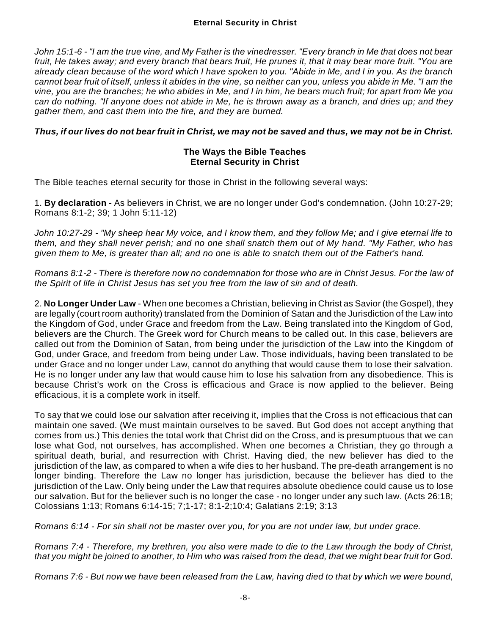*John 15:1-6 - "I am the true vine, and My Father is the vinedresser. "Every branch in Me that does not bear fruit, He takes away; and every branch that bears fruit, He prunes it, that it may bear more fruit. "You are already clean because of the word which I have spoken to you. "Abide in Me, and I in you. As the branch cannot bear fruit of itself, unless it abides in the vine, so neither can you, unless you abide in Me. "I am the vine, you are the branches; he who abides in Me, and I in him, he bears much fruit; for apart from Me you can do nothing. "If anyone does not abide in Me, he is thrown away as a branch, and dries up; and they gather them, and cast them into the fire, and they are burned.*

## *Thus, if our lives do not bear fruit in Christ, we may not be saved and thus, we may not be in Christ.*

#### **The Ways the Bible Teaches Eternal Security in Christ**

The Bible teaches eternal security for those in Christ in the following several ways:

1. **By declaration -** As believers in Christ, we are no longer under God's condemnation. (John 10:27-29; Romans 8:1-2; 39; 1 John 5:11-12)

*John 10:27-29 - "My sheep hear My voice, and I know them, and they follow Me; and I give eternal life to them, and they shall never perish; and no one shall snatch them out of My hand. "My Father, who has given them to Me, is greater than all; and no one is able to snatch them out of the Father's hand.*

*Romans 8:1-2 - There is therefore now no condemnation for those who are in Christ Jesus. For the law of the Spirit of life in Christ Jesus has set you free from the law of sin and of death.*

2. **No Longer Under Law** - When one becomes a Christian, believing in Christ as Savior (the Gospel), they are legally (court room authority) translated from the Dominion of Satan and the Jurisdiction of the Law into the Kingdom of God, under Grace and freedom from the Law. Being translated into the Kingdom of God, believers are the Church. The Greek word for Church means to be called out. In this case, believers are called out from the Dominion of Satan, from being under the jurisdiction of the Law into the Kingdom of God, under Grace, and freedom from being under Law. Those individuals, having been translated to be under Grace and no longer under Law, cannot do anything that would cause them to lose their salvation. He is no longer under any law that would cause him to lose his salvation from any disobedience. This is because Christ's work on the Cross is efficacious and Grace is now applied to the believer. Being efficacious, it is a complete work in itself.

To say that we could lose our salvation after receiving it, implies that the Cross is not efficacious that can maintain one saved. (We must maintain ourselves to be saved. But God does not accept anything that comes from us.) This denies the total work that Christ did on the Cross, and is presumptuous that we can lose what God, not ourselves, has accomplished. When one becomes a Christian, they go through a spiritual death, burial, and resurrection with Christ. Having died, the new believer has died to the jurisdiction of the law, as compared to when a wife dies to her husband. The pre-death arrangement is no longer binding. Therefore the Law no longer has jurisdiction, because the believer has died to the jurisdiction of the Law. Only being under the Law that requires absolute obedience could cause us to lose our salvation. But for the believer such is no longer the case - no longer under any such law. (Acts 26:18; Colossians 1:13; Romans 6:14-15; 7;1-17; 8:1-2;10:4; Galatians 2:19; 3:13

*Romans 6:14 - For sin shall not be master over you, for you are not under law, but under grace.*

*Romans 7:4 - Therefore, my brethren, you also were made to die to the Law through the body of Christ, that you might be joined to another, to Him who was raised from the dead, that we might bear fruit for God.*

*Romans 7:6 - But now we have been released from the Law, having died to that by which we were bound,*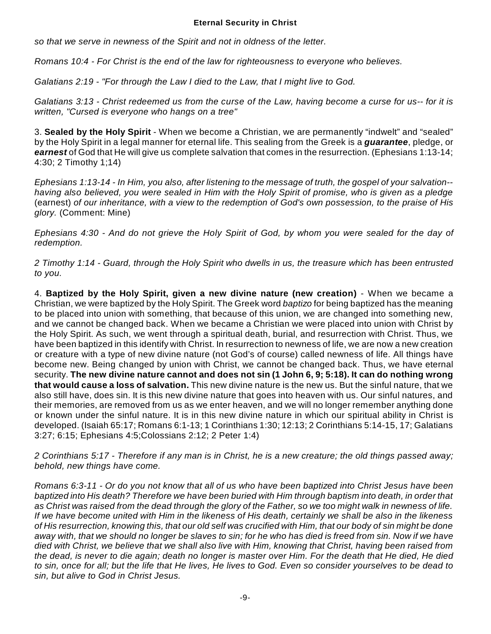*so that we serve in newness of the Spirit and not in oldness of the letter.*

*Romans 10:4 - For Christ is the end of the law for righteousness to everyone who believes.*

*Galatians 2:19 - "For through the Law I died to the Law, that I might live to God.*

*Galatians 3:13 - Christ redeemed us from the curse of the Law, having become a curse for us-- for it is written, "Cursed is everyone who hangs on a tree"*

3. **Sealed by the Holy Spirit** - When we become a Christian, we are permanently "indwelt" and "sealed" by the Holy Spirit in a legal manner for eternal life. This sealing from the Greek is a *guarantee*, pledge, or *earnest* of God that He will give us complete salvation that comes in the resurrection. (Ephesians 1:13-14; 4:30; 2 Timothy 1;14)

*Ephesians 1:13-14 - In Him, you also, after listening to the message of truth, the gospel of your salvation- having also believed, you were sealed in Him with the Holy Spirit of promise, who is given as a pledge* (earnest) *of our inheritance, with a view to the redemption of God's own possession, to the praise of His glory.* (Comment: Mine)

*Ephesians 4:30 - And do not grieve the Holy Spirit of God, by whom you were sealed for the day of redemption.*

*2 Timothy 1:14 - Guard, through the Holy Spirit who dwells in us, the treasure which has been entrusted to you.*

4. **Baptized by the Holy Spirit, given a new divine nature (new creation)** - When we became a Christian, we were baptized by the Holy Spirit. The Greek word *baptizo* for being baptized has the meaning to be placed into union with something, that because of this union, we are changed into something new, and we cannot be changed back. When we became a Christian we were placed into union with Christ by the Holy Spirit. As such, we went through a spiritual death, burial, and resurrection with Christ. Thus, we have been baptized in this identify with Christ. In resurrection to newness of life, we are now a new creation or creature with a type of new divine nature (not God's of course) called newness of life. All things have become new. Being changed by union with Christ, we cannot be changed back. Thus, we have eternal security. **The new divine nature cannot and does not sin (1 John 6, 9; 5:18). It can do nothing wrong that would cause a loss of salvation.** This new divine nature is the new us. But the sinful nature, that we also still have, does sin. It is this new divine nature that goes into heaven with us. Our sinful natures, and their memories, are removed from us as we enter heaven, and we will no longer remember anything done or known under the sinful nature. It is in this new divine nature in which our spiritual ability in Christ is developed. (Isaiah 65:17; Romans 6:1-13; 1 Corinthians 1:30; 12:13; 2 Corinthians 5:14-15, 17; Galatians 3:27; 6:15; Ephesians 4:5;Colossians 2:12; 2 Peter 1:4)

*2 Corinthians 5:17 - Therefore if any man is in Christ, he is a new creature; the old things passed away; behold, new things have come.*

*Romans 6:3-11 - Or do you not know that all of us who have been baptized into Christ Jesus have been baptized into His death? Therefore we have been buried with Him through baptism into death, in order that as Christ was raised from the dead through the glory of the Father, so we too might walk in newness of life. If we have become united with Him in the likeness of His death, certainly we shall be also in the likeness of His resurrection, knowing this, that our old self was crucified with Him, that our body of sin might be done away with, that we should no longer be slaves to sin; for he who has died is freed from sin. Now if we have died with Christ, we believe that we shall also live with Him, knowing that Christ, having been raised from the dead, is never to die again; death no longer is master over Him. For the death that He died, He died to sin, once for all; but the life that He lives, He lives to God. Even so consider yourselves to be dead to sin, but alive to God in Christ Jesus.*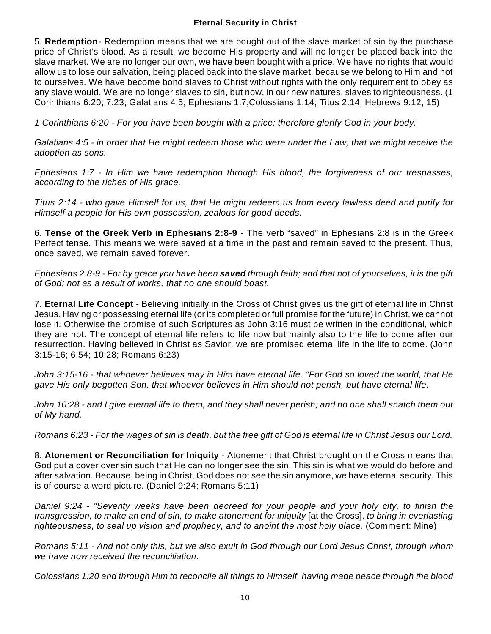5. **Redemption**- Redemption means that we are bought out of the slave market of sin by the purchase price of Christ's blood. As a result, we become His property and will no longer be placed back into the slave market. We are no longer our own, we have been bought with a price. We have no rights that would allow us to lose our salvation, being placed back into the slave market, because we belong to Him and not to ourselves. We have become bond slaves to Christ without rights with the only requirement to obey as any slave would. We are no longer slaves to sin, but now, in our new natures, slaves to righteousness. (1 Corinthians 6:20; 7:23; Galatians 4:5; Ephesians 1:7;Colossians 1:14; Titus 2:14; Hebrews 9:12, 15)

*1 Corinthians 6:20 - For you have been bought with a price: therefore glorify God in your body.*

*Galatians 4:5 - in order that He might redeem those who were under the Law, that we might receive the adoption as sons.*

*Ephesians 1:7 - In Him we have redemption through His blood, the forgiveness of our trespasses, according to the riches of His grace,*

*Titus 2:14 - who gave Himself for us, that He might redeem us from every lawless deed and purify for Himself a people for His own possession, zealous for good deeds.*

6. **Tense of the Greek Verb in Ephesians 2:8-9** - The verb "saved" in Ephesians 2:8 is in the Greek Perfect tense. This means we were saved at a time in the past and remain saved to the present. Thus, once saved, we remain saved forever.

*Ephesians 2:8-9 - For by grace you have been saved through faith; and that not of yourselves, it is the gift of God; not as a result of works, that no one should boast.*

7. **Eternal Life Concept** - Believing initially in the Cross of Christ gives us the gift of eternal life in Christ Jesus. Having or possessing eternal life (or its completed or full promise for the future) in Christ, we cannot lose it. Otherwise the promise of such Scriptures as John 3:16 must be written in the conditional, which they are not. The concept of eternal life refers to life now but mainly also to the life to come after our resurrection. Having believed in Christ as Savior, we are promised eternal life in the life to come. (John 3:15-16; 6:54; 10:28; Romans 6:23)

*John 3:15-16 - that whoever believes may in Him have eternal life. "For God so loved the world, that He gave His only begotten Son, that whoever believes in Him should not perish, but have eternal life.*

*John 10:28 - and I give eternal life to them, and they shall never perish; and no one shall snatch them out of My hand.*

*Romans 6:23 - For the wages of sin is death, but the free gift of God is eternal life in Christ Jesus our Lord.*

8. **Atonement or Reconciliation for Iniquity** - Atonement that Christ brought on the Cross means that God put a cover over sin such that He can no longer see the sin. This sin is what we would do before and after salvation. Because, being in Christ, God does not see the sin anymore, we have eternal security. This is of course a word picture. (Daniel 9:24; Romans 5:11)

*Daniel 9:24 - "Seventy weeks have been decreed for your people and your holy city, to finish the transgression, to make an end of sin, to make atonement for iniquity* [at the Cross], *to bring in everlasting righteousness, to seal up vision and prophecy, and to anoint the most holy place.* (Comment: Mine)

*Romans 5:11 - And not only this, but we also exult in God through our Lord Jesus Christ, through whom we have now received the reconciliation.*

*Colossians 1:20 and through Him to reconcile all things to Himself, having made peace through the blood*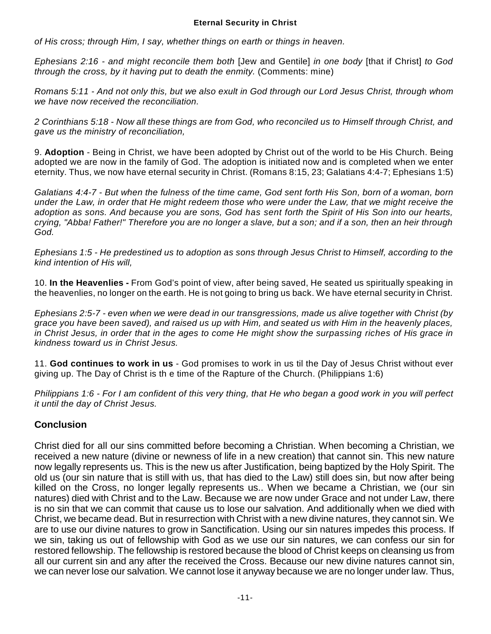*of His cross; through Him, I say, whether things on earth or things in heaven.*

*Ephesians 2:16 - and might reconcile them both* [Jew and Gentile] *in one body* [that if Christ] *to God through the cross, by it having put to death the enmity.* (Comments: mine)

*Romans 5:11 - And not only this, but we also exult in God through our Lord Jesus Christ, through whom we have now received the reconciliation.*

*2 Corinthians 5:18 - Now all these things are from God, who reconciled us to Himself through Christ, and gave us the ministry of reconciliation,*

9. **Adoption** - Being in Christ, we have been adopted by Christ out of the world to be His Church. Being adopted we are now in the family of God. The adoption is initiated now and is completed when we enter eternity. Thus, we now have eternal security in Christ. (Romans 8:15, 23; Galatians 4:4-7; Ephesians 1:5)

*Galatians 4:4-7 - But when the fulness of the time came, God sent forth His Son, born of a woman, born under the Law, in order that He might redeem those who were under the Law, that we might receive the adoption as sons. And because you are sons, God has sent forth the Spirit of His Son into our hearts, crying, "Abba! Father!" Therefore you are no longer a slave, but a son; and if a son, then an heir through God.*

*Ephesians 1:5 - He predestined us to adoption as sons through Jesus Christ to Himself, according to the kind intention of His will,*

10. **In the Heavenlies -** From God's point of view, after being saved, He seated us spiritually speaking in the heavenlies, no longer on the earth. He is not going to bring us back. We have eternal security in Christ.

*Ephesians 2:5-7 - even when we were dead in our transgressions, made us alive together with Christ (by grace you have been saved), and raised us up with Him, and seated us with Him in the heavenly places, in Christ Jesus, in order that in the ages to come He might show the surpassing riches of His grace in kindness toward us in Christ Jesus.*

11. **God continues to work in us** - God promises to work in us til the Day of Jesus Christ without ever giving up. The Day of Christ is th e time of the Rapture of the Church. (Philippians 1:6)

*Philippians 1:6 - For I am confident of this very thing, that He who began a good work in you will perfect it until the day of Christ Jesus.*

# **Conclusion**

Christ died for all our sins committed before becoming a Christian. When becoming a Christian, we received a new nature (divine or newness of life in a new creation) that cannot sin. This new nature now legally represents us. This is the new us after Justification, being baptized by the Holy Spirit. The old us (our sin nature that is still with us, that has died to the Law) still does sin, but now after being killed on the Cross, no longer legally represents us.. When we became a Christian, we (our sin natures) died with Christ and to the Law. Because we are now under Grace and not under Law, there is no sin that we can commit that cause us to lose our salvation. And additionally when we died with Christ, we became dead. But in resurrection with Christ with a new divine natures, they cannot sin. We are to use our divine natures to grow in Sanctification. Using our sin natures impedes this process. If we sin, taking us out of fellowship with God as we use our sin natures, we can confess our sin for restored fellowship. The fellowship is restored because the blood of Christ keeps on cleansing us from all our current sin and any after the received the Cross. Because our new divine natures cannot sin, we can never lose our salvation. We cannot lose it anyway because we are no longer under law. Thus,